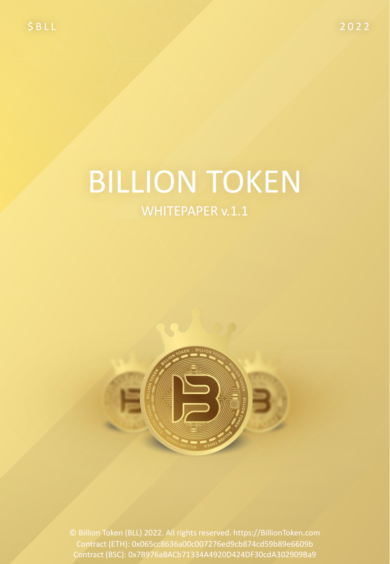# **BILLION TOKEN**

### WHITEPAPER v.1.1



1 Contract (ETH): 0x065cc8636a00c007276ed9cb874cd59b89e6609b © Billion Token (BLL) 2022. All rights reserved. https://BillionToken.com Contract (BSC): 0x7B976aBACb71334A4920D424DF30cdA302909Ba9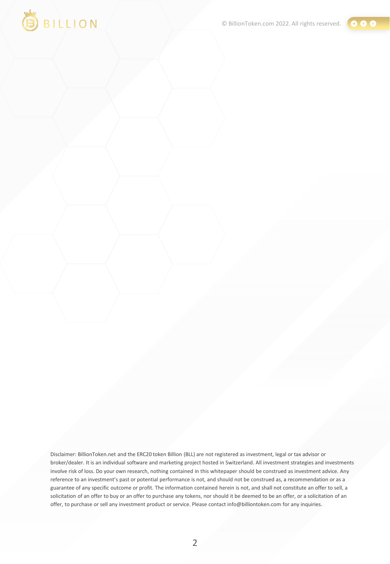



Disclaimer: BillionToken.net and the ERC20 token Billion (BLL) are not registered as investment, legal or tax advisor or broker/dealer. It is an individual software and marketing project hosted in Switzerland. All investment strategies and investments involve risk of loss. Do your own research, nothing contained in this whitepaper should be construed as investment advice. Any reference to an investment's past or potential performance is not, and should not be construed as, a recommendation or as a guarantee of any specific outcome or profit. The information contained herein is not, and shall not constitute an offer to sell, a solicitation of an offer to buy or an offer to purchase any tokens, nor should it be deemed to be an offer, or a solicitation of an offer, to purchase or sell any investment product or service. Please contact info@billiontoken.com for any inquiries.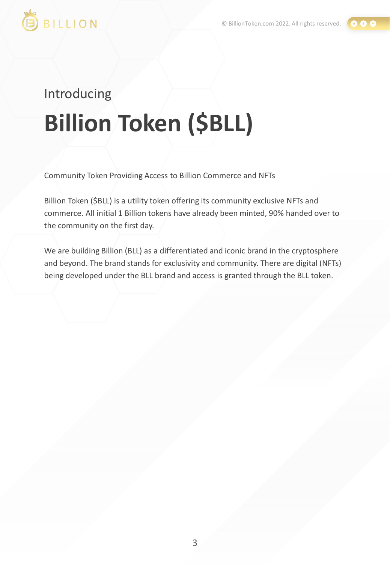

# Introducing **Billion Token (\$BLL)**

Community Token Providing Access to Billion Commerce and NFTs

Billion Token (\$BLL) is a utility token offering its community exclusive NFTs and commerce. All initial 1 Billion tokens have already been minted, 90% handed over to the community on the first day.

We are building Billion (BLL) as a differentiated and iconic brand in the cryptosphere and beyond. The brand stands for exclusivity and community. There are digital (NFTs) being developed under the BLL brand and access is granted through the BLL token.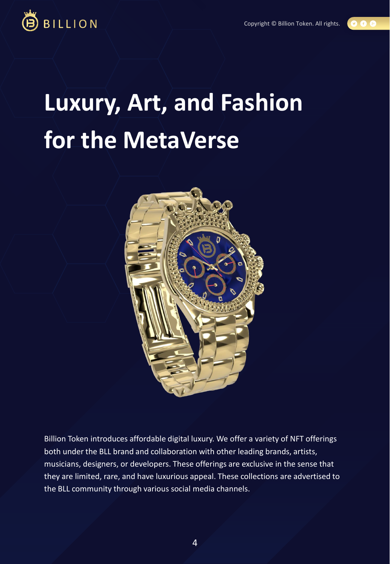00



# **Luxury, Art, and Fashion for the MetaVerse**



Billion Token introduces affordable digital luxury. We offer a variety of NFT offerings both under the BLL brand and collaboration with other leading brands, artists, musicians, designers, or developers. These offerings are exclusive in the sense that they are limited, rare, and have luxurious appeal. These collections are advertised to the BLL community through various social media channels.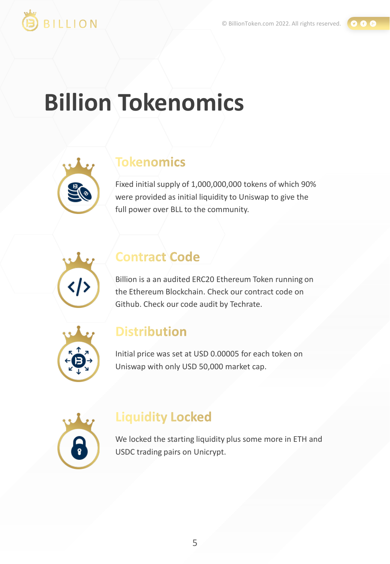

#### $000$

# **Billion Tokenomics**

### **Tokenomics**

Fixed initial supply of 1,000,000,000 tokens of which 90% were provided as initial liquidity to Uniswap to give the full power over BLL to the community.



### **Contract Code**

Billion is a an audited ERC20 Ethereum Token running on the Ethereum Blockchain. Check our contract code on Github. Check our code audit by Techrate.



### **Distribution**

Initial price was set at USD 0.00005 for each token on Uniswap with only USD 50,000 market cap.



### **Liquidity Locked**

We locked the starting liquidity plus some more in ETH and USDC trading pairs on Unicrypt.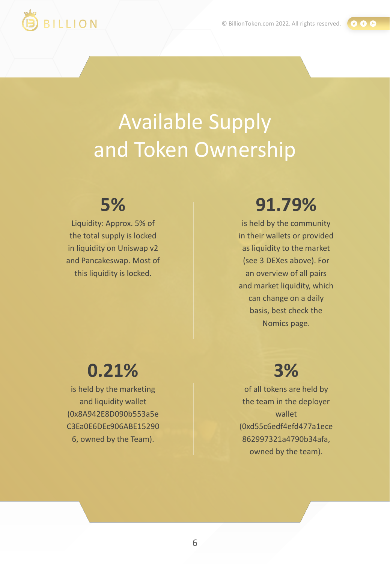$000$ 



# Available Supply and Token Ownership

### **5%**

Liquidity: Approx. 5% of the total supply is locked in liquidity on Uniswap v2 and Pancakeswap. Most of this liquidity is locked.

## **91.79%**

is held by the community in their wallets or provided as liquidity to the market (see 3 DEXes above). For an overview of all pairs and market liquidity, which can change on a daily basis, best check the Nomics page.

## **0.21%**

is held by the marketing and liquidity wallet (0x8A942E8D090b553a5e C3Ea0E6DEc906ABE15290 6, owned by the Team).

### **3%**

of all tokens are held by the team in the deployer wallet (0xd55c6edf4efd477a1ece 862997321a4790b34afa, owned by the team).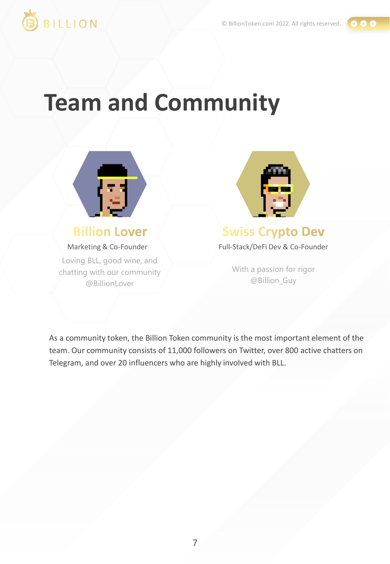

 $0 0 0$ 

# **Team and Community**



#### **Billion Lover**

Marketing & Co-Founder

Loving BLL, good wine, and chatting with our community @BillionLover



### **Swiss Crypto Dev**

Full-Stack/DeFi Dev & Co-Founder

With a passion for rigor @Billion\_Guy

As a community token, the Billion Token community is the most important element of the team. Our community consists of 11,000 followers on Twitter, over 800 active chatters on Telegram, and over 20 influencers who are highly involved with BLL.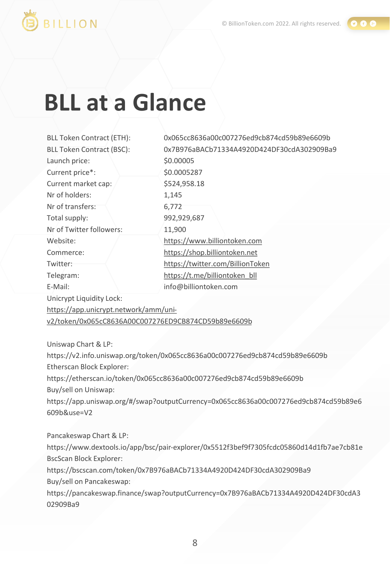

0 A 8

## BILLION

# **BLL at a Glance**

| <b>BLL Token Contract (ETH):</b>                    | 0x065cc8636a00c007276ed9cb874cd59b89e6609b |
|-----------------------------------------------------|--------------------------------------------|
| <b>BLL Token Contract (BSC):</b>                    | 0x7B976aBACb71334A4920D424DF30cdA302909Ba9 |
| Launch price:                                       | \$0.00005                                  |
| Current price*:                                     | \$0.0005287                                |
| Current market cap:                                 | \$524,958.18                               |
| Nr of holders:                                      | 1,145                                      |
| Nr of transfers:                                    | 6,772                                      |
| Total supply:                                       | 992,929,687                                |
| Nr of Twitter followers:                            | 11,900                                     |
| Website:                                            | https://www.billiontoken.com               |
| Commerce:                                           | https://shop.billiontoken.net              |
| Twitter:                                            | https://twitter.com/BillionToken           |
| Telegram:                                           | https://t.me/billiontoken_bll              |
| E-Mail:                                             | info@billiontoken.com                      |
| Unicrypt Liquidity Lock:                            |                                            |
| https://app.unicrypt.network/amm/uni-               |                                            |
| v2/token/0x065cC8636A00C007276ED9CB874CD59b89e6609b |                                            |
|                                                     |                                            |

Uniswap Chart & LP:

https://v2.info.uniswap.org/token/0x065cc8636a00c007276ed9cb874cd59b89e6609b Etherscan Block Explorer: https://etherscan.io/token/0x065cc8636a00c007276ed9cb874cd59b89e6609b Buy/sell on Uniswap: https://app.uniswap.org/#/swap?outputCurrency=0x065cc8636a00c007276ed9cb874cd59b89e6 609b&use=V2

Pancakeswap Chart & LP: https://www.dextools.io/app/bsc/pair-explorer/0x5512f3bef9f7305fcdc05860d14d1fb7ae7cb81e BscScan Block Explorer:

https://bscscan.com/token/0x7B976aBACb71334A4920D424DF30cdA302909Ba9 Buy/sell on Pancakeswap:

https://pancakeswap.finance/swap?outputCurrency=0x7B976aBACb71334A4920D424DF30cdA3 02909Ba9